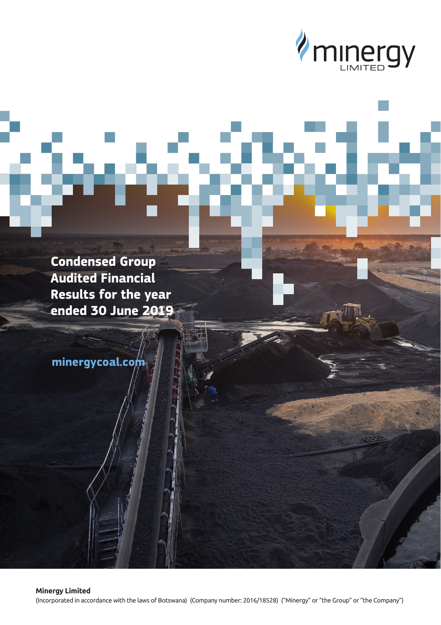

**Condensed Group Audited Financial Results for the year ended 30 June 2019**

**minergycoal.com**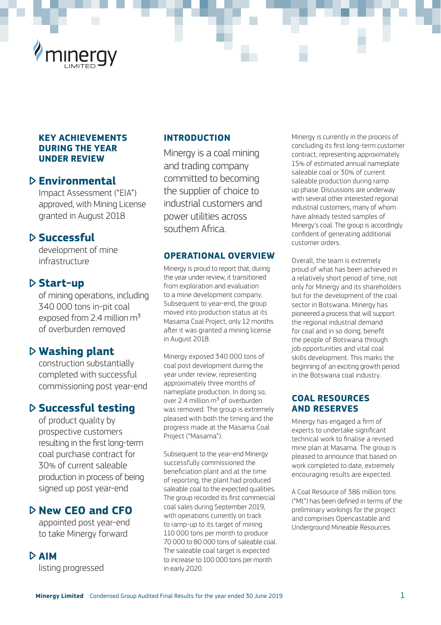

#### **KEY ACHIEVEMENTS DURING THE YEAR UNDER REVIEW**

# **Environmental**

Impact Assessment ("EIA") approved, with Mining License granted in August 2018

# **Successful**

development of mine infrastructure

## **Start-up**

of mining operations, including 340 000 tons in-pit coal exposed from 2.4 million m<sup>3</sup> of overburden removed

# **Washing plant**

construction substantially completed with successful commissioning post year-end

# **Successful testing**

of product quality by prospective customers resulting in the first long-term coal purchase contract for 30% of current saleable production in process of being signed up post year-end

# **New CEO and CFO**

appointed post year-end to take Minergy forward

## **AIM**

listing progressed

#### **INTRODUCTION**

Minergy is a coal mining and trading company committed to becoming the supplier of choice to industrial customers and power utilities across southern Africa.

#### **OPERATIONAL OVERVIEW**

Minergy is proud to report that, during the year under review, it transitioned from exploration and evaluation to a mine development company. Subsequent to year-end, the group moved into production status at its Masama Coal Project, only 12 months after it was granted a mining license in August 2018.

Minergy exposed 340,000 tons of coal post development during the year under review, representing approximately three months of nameplate production. In doing so, over 2.4 million m3 of overburden was removed. The group is extremely pleased with both the timing and the progress made at the Masama Coal Project ("Masama").

Subsequent to the year-end Minergy successfully commissioned the beneficiation plant and at the time of reporting, the plant had produced saleable coal to the expected qualities. The group recorded its first commercial coal sales during September 2019, with operations currently on track to ramp-up to its target of mining 110 000 tons per month to produce 70 000 to 80 000 tons of saleable coal. The saleable coal target is expected to increase to 100 000 tons per month in early 2020.

Minergy is currently in the process of concluding its first long-term customer contract, representing approximately 15% of estimated annual nameplate saleable coal or 30% of current saleable production during ramp up phase. Discussions are underway with several other interested regional industrial customers, many of whom have already tested samples of Minergy's coal. The group is accordingly confident of generating additional customer orders.

Overall, the team is extremely proud of what has been achieved in a relatively short period of time, not only for Minergy and its shareholders but for the development of the coal sector in Botswana. Minergy has pioneered a process that will support the regional industrial demand for coal and in so doing, benefit the people of Botswana through job opportunities and vital coal skills development. This marks the beginning of an exciting growth period in the Botswana coal industry.

#### **COAL RESOURCES AND RESERVES**

Minergy has engaged a firm of experts to undertake significant technical work to finalise a revised mine plan at Masama. The group is pleased to announce that based on work completed to date, extremely encouraging results are expected.

A Coal Resource of 386 million tons ("Mt") has been defined in terms of the preliminary workings for the project and comprises Opencastable and Underground Mineable Resources.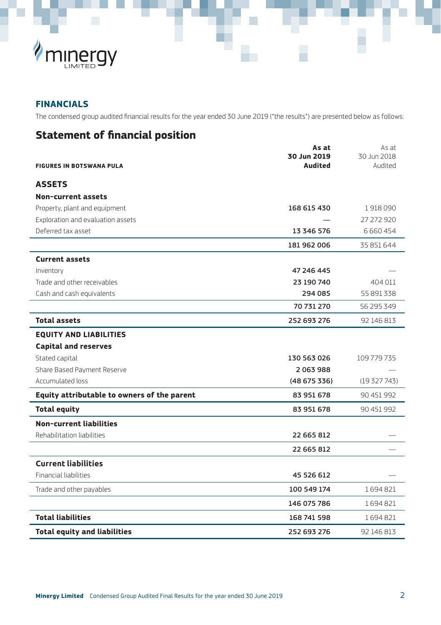

# **FINANCIALS**

The condensed group audited financial results for the year ended 30 June 2019 ("the results") are presented below as follows:

# **Statement of financial position**

|                                             | As at<br>30 Jun 2019 | As at<br>30 Jun 2018 |
|---------------------------------------------|----------------------|----------------------|
| <b>FIGURES IN BOTSWANA PULA</b>             | Audited              | Audited              |
| <b>ASSETS</b>                               |                      |                      |
| <b>Non-current assets</b>                   |                      |                      |
| Property, plant and equipment               | 168 615 430          | 1918090              |
| Exploration and evaluation assets           |                      | 27 272 920           |
| Deferred tax asset                          | 13 346 576           | 6 6 6 0 4 5 4        |
|                                             | 181 962 006          | 35 851 644           |
| <b>Current assets</b>                       |                      |                      |
| Inventory                                   | 47 246 445           |                      |
| Trade and other receivables                 | 23 190 740           | 404 011              |
| Cash and cash equivalents                   | 294 085              | 55 891 338           |
|                                             | 70 731 270           | 56 295 349           |
| <b>Total assets</b>                         | 252 693 276          | 92 146 813           |
| <b>EQUITY AND LIABILITIES</b>               |                      |                      |
| <b>Capital and reserves</b>                 |                      |                      |
| Stated capital                              | 130 563 026          | 109 779 735          |
| Share Based Payment Reserve                 | 2063988              |                      |
| Accumulated loss                            | (48675336)           | (19327743)           |
| Equity attributable to owners of the parent | 83 951 678           | 90 451 992           |
| <b>Total equity</b>                         | 83 951 678           | 90 451 992           |
| <b>Non-current liabilities</b>              |                      |                      |
| Rehabilitation liabilities                  | 22 665 812           |                      |
|                                             | 22 665 812           |                      |
| <b>Current liabilities</b>                  |                      |                      |
| <b>Financial liabilities</b>                | 45 526 612           |                      |
| Trade and other payables                    | 100 549 174          | 1694821              |
|                                             | 146 075 786          | 1694821              |
| <b>Total liabilities</b>                    | 168 741 598          | 1694821              |
| <b>Total equity and liabilities</b>         | 252 693 276          | 92 146 813           |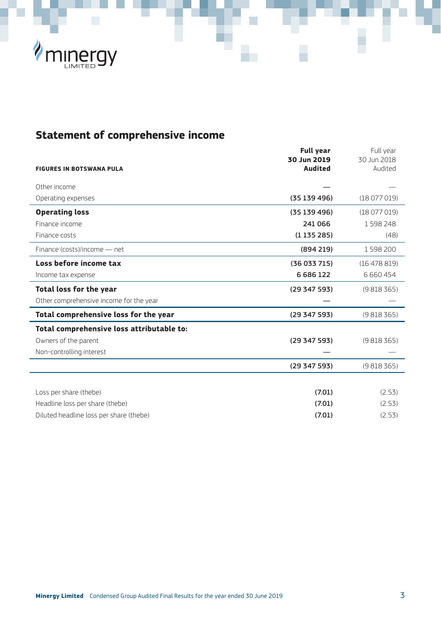

# **Statement of comprehensive income**

|                                           | <b>Full year</b><br>30 Jun 2019 | Full year<br>30 Jun 2018 |
|-------------------------------------------|---------------------------------|--------------------------|
| <b>FIGURES IN BOTSWANA PULA</b>           | Audited                         | Audited                  |
| Other income                              |                                 |                          |
| Operating expenses                        | (35139496)                      | (18077019)               |
| <b>Operating loss</b>                     | (35139496)                      | (18077019)               |
| Finance income                            | 241 066                         | 1598248                  |
| Finance costs                             | (1135285)                       | (48)                     |
| Finance (costs)/income - net              | (894219)                        | 1598200                  |
| Loss before income tax                    | (36033715)                      | (16478819)               |
| Income tax expense                        | 6686122                         | 6 6 6 0 4 5 4            |
| Total loss for the year                   | (29347593)                      | (9818365)                |
| Other comprehensive income for the year   |                                 |                          |
| Total comprehensive loss for the year     | (29 347 593)                    | (9818365)                |
| Total comprehensive loss attributable to: |                                 |                          |
| Owners of the parent                      | (29347593)                      | (9818365)                |
| Non-controlling interest                  |                                 |                          |
|                                           | (29 347 593)                    | (9818365)                |
|                                           |                                 |                          |
| Loss per share (thebe)                    | (7.01)                          | (2.53)                   |
| Headline loss per share (thebe)           | (7.01)                          | (2.53)                   |
| Diluted headline loss per share (thebe)   | (7.01)                          | (2.53)                   |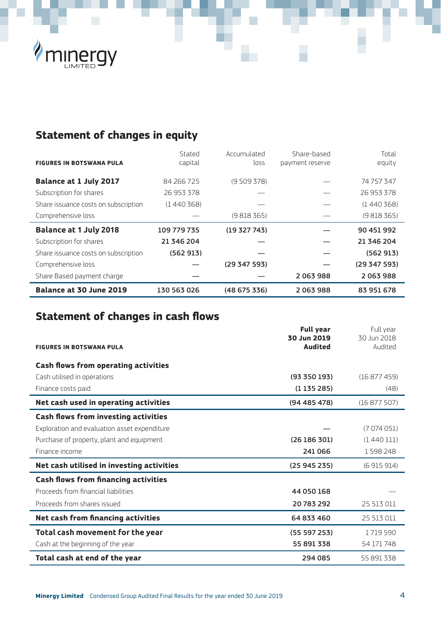

# **Statement of changes in equity**

|                                      | Stated      | Accumulated | Share-based     | Total      |
|--------------------------------------|-------------|-------------|-----------------|------------|
| <b>FIGURES IN BOTSWANA PULA</b>      | capital     | loss        | payment reserve | equity     |
| Balance at 1 July 2017               | 84 266 725  | (9509378)   |                 | 74 757 347 |
| Subscription for shares              | 26 953 378  |             |                 | 26 953 378 |
| Share issuance costs on subscription | (1440368)   |             |                 | (1440368)  |
| Comprehensive loss                   |             | (9818365)   |                 | (9818365)  |
|                                      |             |             |                 |            |
| <b>Balance at 1 July 2018</b>        | 109 779 735 | (19327743)  |                 | 90 451 992 |
| Subscription for shares              | 21 346 204  |             |                 | 21 346 204 |
| Share issuance costs on subscription | (562913)    |             |                 | (562913)   |
| Comprehensive loss                   |             | (29347593)  |                 | (29347593) |
| Share Based payment charge           |             |             | 2063988         | 2063988    |

# **Statement of changes in cash flows**

|                                              | <b>Full year</b><br>30 Jun 2019 | Full year<br>30 Jun 2018 |
|----------------------------------------------|---------------------------------|--------------------------|
| <b>FIGURES IN BOTSWANA PULA</b>              | Audited                         | Audited                  |
|                                              |                                 |                          |
| Cash flows from operating activities         |                                 |                          |
| Cash utilised in operations                  | (93 350 193)                    | (16877459)               |
| Finance costs paid                           | (1135285)                       | (48)                     |
| Net cash used in operating activities        | (94485478)                      | (16877507)               |
| Cash flows from investing activities         |                                 |                          |
| Exploration and evaluation asset expenditure |                                 | (7074051)                |
| Purchase of property, plant and equipment    | (26186301)                      | (1440111)                |
| Finance income                               | 241 066                         | 1598248                  |
| Net cash utilised in investing activities    | (25945235)                      | (6915914)                |
| <b>Cash flows from financing activities</b>  |                                 |                          |
| Proceeds from financial liabilities          | 44 050 168                      |                          |
| Proceeds from shares issued                  | 20783292                        | 25 513 011               |
| Net cash from financing activities           | 64 833 460                      | 25 513 011               |
| Total cash movement for the year             | (55597253)                      | 1719590                  |
| Cash at the beginning of the year            | 55 891 338                      | 54 171 748               |
| Total cash at end of the year                | 294 085                         | 55891338                 |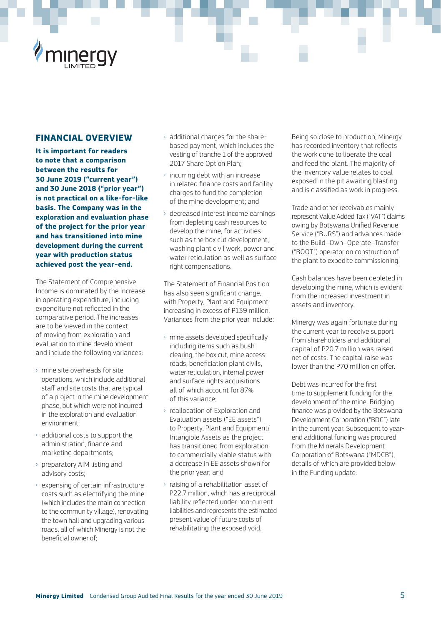#### **FINANCIAL OVERVIEW**

**It is important for readers to note that a comparison between the results for 30 June 2019 ("current year") and 30 June 2018 ("prior year") is not practical on a like-for-like basis. The Company was in the exploration and evaluation phase of the project for the prior year and has transitioned into mine development during the current year with production status achieved post the year-end.**

The Statement of Comprehensive Income is dominated by the increase in operating expenditure, including expenditure not reflected in the comparative period. The increases are to be viewed in the context of moving from exploration and evaluation to mine development and include the following variances:

- › mine site overheads for site operations, which include additional staff and site costs that are typical of a project in the mine development phase, but which were not incurred in the exploration and evaluation environment;
- › additional costs to support the administration, finance and marketing departments;
- › preparatory AIM listing and advisory costs;
- › expensing of certain infrastructure costs such as electrifying the mine (which includes the main connection to the community village), renovating the town hall and upgrading various roads, all of which Minergy is not the beneficial owner of;
- › additional charges for the sharebased payment, which includes the vesting of tranche 1 of the approved 2017 Share Option Plan;
- incurring debt with an increase in related finance costs and facility charges to fund the completion of the mine development; and
- › decreased interest income earnings from depleting cash resources to develop the mine, for activities such as the box cut development. washing plant civil work, power and water reticulation as well as surface right compensations.

The Statement of Financial Position has also seen significant change with Property, Plant and Equipment increasing in excess of P139 million. Variances from the prior year include:

- › mine assets developed specifically including items such as bush clearing, the box cut, mine access roads, beneficiation plant civils, water reticulation, internal power and surface rights acquisitions all of which account for 87% of this variance;
- › reallocation of Exploration and Evaluation assets ("EE assets") to Property, Plant and Equipment/ Intangible Assets as the project has transitioned from exploration to commercially viable status with a decrease in EE assets shown for the prior year; and
- › raising of a rehabilitation asset of P22.7 million, which has a reciprocal liability reflected under non-current liabilities and represents the estimated present value of future costs of rehabilitating the exposed void.

Being so close to production, Minergy has recorded inventory that reflects the work done to liberate the coal and feed the plant. The majority of the inventory value relates to coal exposed in the pit awaiting blasting and is classified as work in progress.

Trade and other receivables mainly represent Value Added Tax ("VAT") claims owing by Botswana Unified Revenue Service ("BURS") and advances made to the Build–Own–Operate–Transfer ("BOOT") operator on construction of the plant to expedite commissioning.

Cash balances have been depleted in developing the mine, which is evident from the increased investment in assets and inventory.

Minergy was again fortunate during the current year to receive support from shareholders and additional capital of P20.7 million was raised net of costs. The capital raise was lower than the P70 million on offer.

Debt was incurred for the first time to supplement funding for the development of the mine. Bridging finance was provided by the Botswana Development Corporation ("BDC") late in the current year. Subsequent to yearend additional funding was procured from the Minerals Development Corporation of Botswana ("MDCB"), details of which are provided below in the Funding update.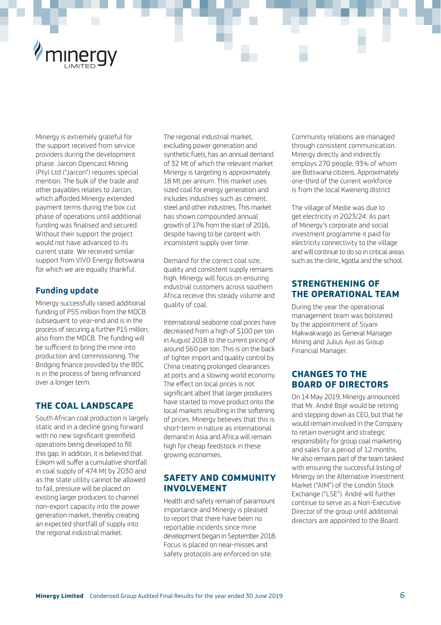

Minergy is extremely grateful for the support received from service providers during the development phase. Jarcon Opencast Mining (Pty) Ltd ("Jarcon") requires special mention. The bulk of the trade and other payables relates to Jarcon, which afforded Minergy extended payment terms during the box cut phase of operations until additional funding was finalised and secured. Without their support the project would not have advanced to its current state. We received similar support from VIVO Energy Botswana for which we are equally thankful.

#### **Funding update**

Minergy successfully raised additional funding of P55 million from the MDCB subsequent to year-end and is in the process of securing a further P15 million, also from the MDCB. The funding will be sufficient to bring the mine into production and commissioning. The Bridging finance provided by the BDC is in the process of being refinanced over a longer term.

## **THE COAL LANDSCAPE**

South African coal production is largely static and in a decline going forward with no new significant greenfield operations being developed to fill this gap. In addition, it is believed that Eskom will suffer a cumulative shortfall in coal supply of 474 Mt by 2030 and as the state utility cannot be allowed to fail, pressure will be placed on existing larger producers to channel non-export capacity into the power generation market, thereby creating an expected shortfall of supply into the regional industrial market.

The regional industrial market, excluding power generation and synthetic fuels, has an annual demand of 32 Mt of which the relevant market Minergy is targeting is approximately 18 Mt per annum. This market uses sized coal for energy generation and includes industries such as cement, steel and other industries. This market has shown compounded annual growth of 17% from the start of 2016, despite having to be content with inconsistent supply over time.

Demand for the correct coal size, quality and consistent supply remains high. Minergy will focus on ensuring industrial customers across southern Africa receive this steady volume and quality of coal.

International seaborne coal prices have decreased from a high of \$100 per ton in August 2018 to the current pricing of around \$60 per ton. This is on the back of tighter import and quality control by China creating prolonged clearances at ports and a slowing world economy. The effect on local prices is not significant albeit that larger producers have started to move product onto the local markets resulting in the softening of prices. Minergy believes that this is short-term in nature as international demand in Asia and Africa will remain high for cheap feedstock in these growing economies.

#### **SAFETY AND COMMUNITY INVOLVEMENT**

Health and safety remain of paramount importance and Minergy is pleased to report that there have been no reportable incidents since mine development began in September 2018. Focus is placed on near-misses and safety protocols are enforced on site.

Community relations are managed through consistent communication. Minergy directly and indirectly employs 270 people, 93% of whom are Botswana citizens. Approximately one-third of the current workforce is from the local Kweneng district

The village of Medie was due to get electricity in 2023/24. As part of Minergy's corporate and social investment programme it paid for electricity connectivity to the village and will continue to do so in critical areas such as the clinic, kgotla and the school.

### **STRENGTHENING OF THE OPERATIONAL TEAM**

During the year the operational management team was bolstered by the appointment of Siyani Makwakwago as General Manager Mining and Julius Ayo as Group Financial Manager.

## **CHANGES TO THE BOARD OF DIRECTORS**

On 14 May 2019, Minergy announced that Mr. André Bojé would be retiring and stepping down as CEO, but that he would remain involved in the Company to retain oversight and strategic responsibility for group coal marketing and sales for a period of 12 months. He also remains part of the team tasked with ensuring the successful listing of Minergy on the Alternative Investment Market ("AIM") of the London Stock Exchange ("LSE"). André will further continue to serve as a Non-Executive Director of the group until additional directors are appointed to the Board.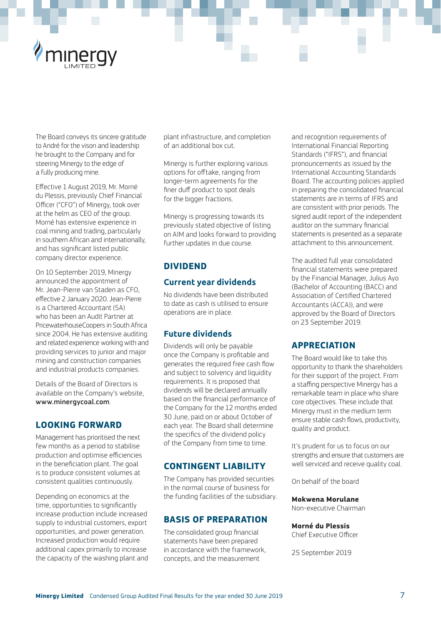

The Board conveys its sincere gratitude to André for the vison and leadership he brought to the Company and for steering Minergy to the edge of a fully producing mine.

Effective 1 August 2019, Mr. Morné du Plessis, previously Chief Financial Officer ("CFO") of Minergy, took over at the helm as CEO of the group. Morné has extensive experience in coal mining and trading, particularly in southern African and internationally, and has significant listed public company director experience.

On 10 September 2019, Minergy announced the appointment of Mr. Jean-Pierre van Staden as CFO, effective 2 January 2020. Jean-Pierre is a Chartered Accountant (SA) who has been an Audit Partner at PricewaterhouseCoopers in South Africa since 2004. He has extensive auditing and related experience working with and providing services to junior and major mining and construction companies and industrial products companies.

Details of the Board of Directors is available on the Company's website, www.minergycoal.com.

#### **LOOKING FORWARD**

Management has prioritised the next few months as a period to stabilise production and optimise efficiencies in the beneficiation plant. The goal is to produce consistent volumes at consistent qualities continuously.

Depending on economics at the time, opportunities to significantly increase production include increased supply to industrial customers, export opportunities, and power generation. Increased production would require additional capex primarily to increase the capacity of the washing plant and

plant infrastructure, and completion of an additional box cut.

Minergy is further exploring various options for offtake, ranging from longer-term agreements for the finer duff product to spot deals for the bigger fractions.

Minergy is progressing towards its previously stated objective of listing on AIM and looks forward to providing further updates in due course.

### **DIVIDEND**

#### **Current year dividends**

No dividends have been distributed to date as cash is utilised to ensure operations are in place.

#### **Future dividends**

Dividends will only be payable once the Company is profitable and generates the required free cash flow and subject to solvency and liquidity requirements. It is proposed that dividends will be declared annually based on the financial performance of the Company for the 12 months ended 30 June, paid on or about October of each year. The Board shall determine the specifics of the dividend policy of the Company from time to time.

#### **CONTINGENT LIABILITY**

The Company has provided securities in the normal course of business for the funding facilities of the subsidiary.

#### **BASIS OF PREPARATION**

The consolidated group financial statements have been prepared in accordance with the framework, concepts, and the measurement

and recognition requirements of International Financial Reporting Standards ("IFRS"), and financial pronouncements as issued by the International Accounting Standards Board. The accounting policies applied in preparing the consolidated financial statements are in terms of IFRS and are consistent with prior periods. The signed audit report of the independent auditor on the summary financial statements is presented as a separate attachment to this announcement.

The audited full year consolidated financial statements were prepared by the Financial Manager, Julius Ayo (Bachelor of Accounting (BACC) and Association of Certified Chartered Accountants (ACCA)), and were approved by the Board of Directors on 23 September 2019.

#### **APPRECIATION**

The Board would like to take this opportunity to thank the shareholders for their support of the project. From a staffing perspective Minergy has a remarkable team in place who share core objectives. These include that Minergy must in the medium term ensure stable cash flows, productivity, quality and product.

It's prudent for us to focus on our strengths and ensure that customers are well serviced and receive quality coal.

On behalf of the board

#### **Mokwena Morulane**

Non-executive Chairman

#### **Morné du Plessis**

Chief Executive Officer

25 September 2019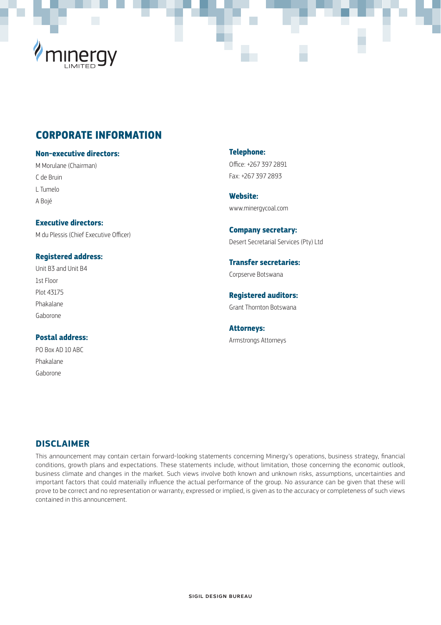

# **CORPORATE INFORMATION**

#### **Non-executive directors:**

M Morulane (Chairman) C de Bruin L Tumelo A Bojé

**Executive directors:** M du Plessis (Chief Executive Officer)

#### **Registered address:**

Unit B3 and Unit B4 1st Floor Plot 43175 Phakalane Gaborone

#### **Postal address:** PO Box AD 10 ABC

Phakalane Gaborone

**Telephone:** Office: +267 397 2891 Fax: +267 397 2893

**Website:** www.minergycoal.com

**Company secretary:** Desert Secretarial Services (Pty) Ltd

**Transfer secretaries:** Corpserve Botswana

**Registered auditors:** Grant Thornton Botswana

**Attorneys:** Armstrongs Attorneys

#### **DISCLAIMER**

This announcement may contain certain forward-looking statements concerning Minergy's operations, business strategy, financial conditions, growth plans and expectations. These statements include, without limitation, those concerning the economic outlook, business climate and changes in the market. Such views involve both known and unknown risks, assumptions, uncertainties and important factors that could materially influence the actual performance of the group. No assurance can be given that these will prove to be correct and no representation or warranty, expressed or implied, is given as to the accuracy or completeness of such views contained in this announcement.